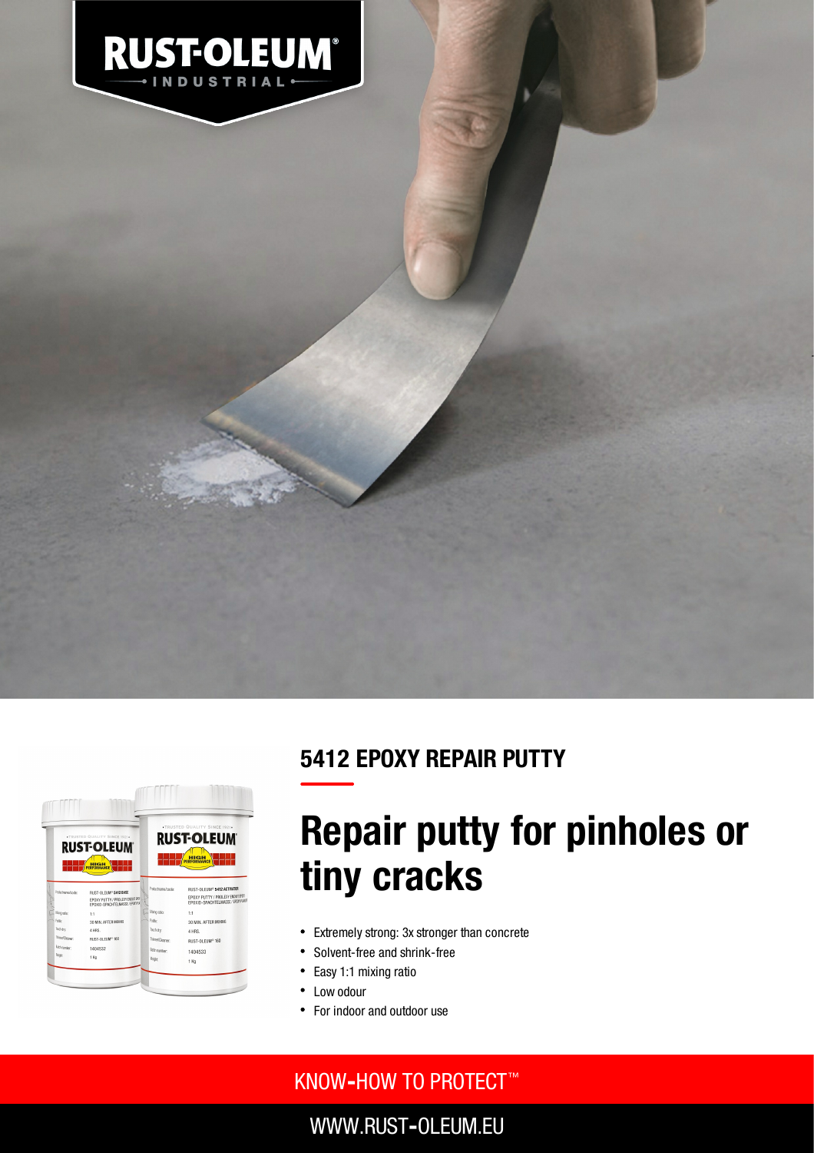

## 5412 EPOXY REPAIR PUTTY



# Repair putty for pinholes or tiny cracks

- Extremely strong: 3x stronger than concrete
- $\bullet$ Solvent-free and shrink-free
- Easy 1:1 mixing ratio  $\bullet$
- Low odour
- For indoor and outdoor use

### KNOW**‐**HOW TO PROTECT ™

WWW.RUST**‐**OLEUM.EU